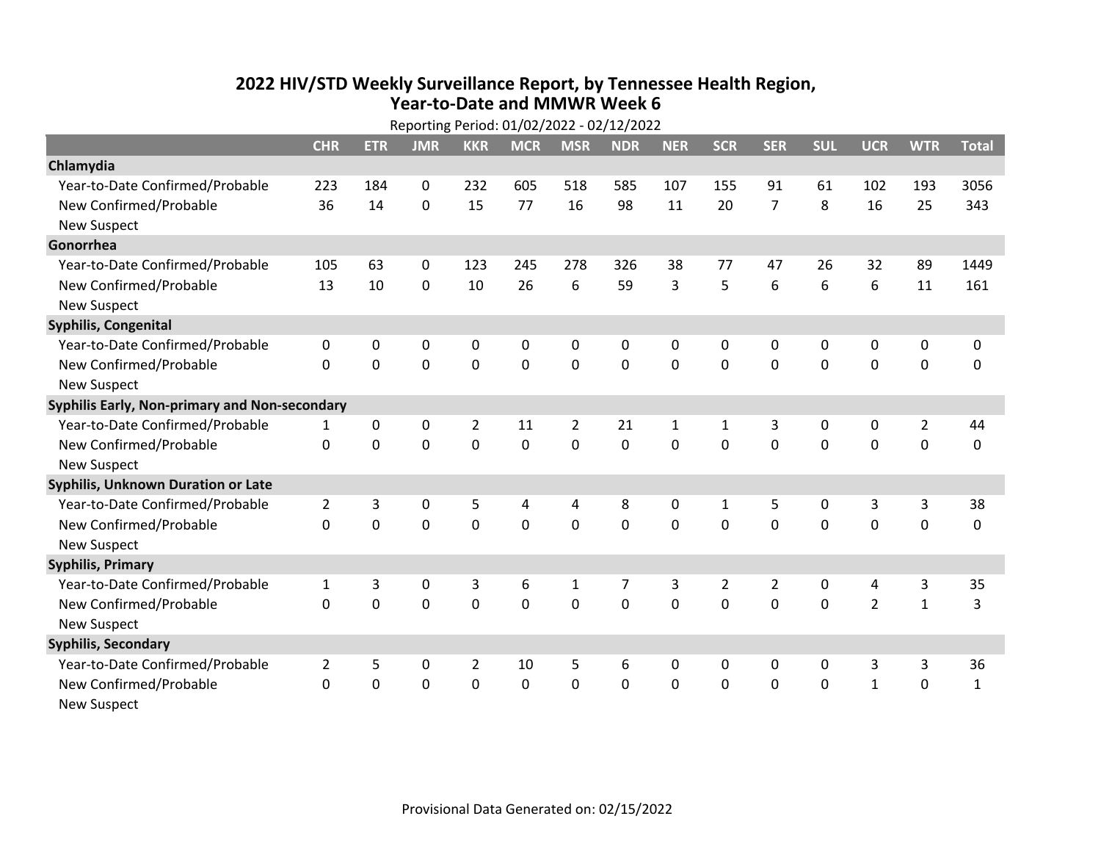## **2022 HIV /STD Weekly Surveillance Report, by Tennessee Health Region, Year‐to‐Date and MMWR Week 6** Reporting Period: 01/02/2022 ‐ 02/12/2022

| Reporting Period: 01/02/2022 - 02/12/2022     |                |             |             |                |             |                |                |              |                |                |             |                |                |              |
|-----------------------------------------------|----------------|-------------|-------------|----------------|-------------|----------------|----------------|--------------|----------------|----------------|-------------|----------------|----------------|--------------|
|                                               | <b>CHR</b>     | <b>ETR</b>  | <b>JMR</b>  | <b>KKR</b>     | <b>MCR</b>  | <b>MSR</b>     | <b>NDR</b>     | <b>NER</b>   | <b>SCR</b>     | <b>SER</b>     | <b>SUL</b>  | <b>UCR</b>     | <b>WTR</b>     | <b>Total</b> |
| Chlamydia                                     |                |             |             |                |             |                |                |              |                |                |             |                |                |              |
| Year-to-Date Confirmed/Probable               | 223            | 184         | $\mathbf 0$ | 232            | 605         | 518            | 585            | 107          | 155            | 91             | 61          | 102            | 193            | 3056         |
| New Confirmed/Probable                        | 36             | 14          | 0           | 15             | 77          | 16             | 98             | 11           | 20             | $\overline{7}$ | 8           | 16             | 25             | 343          |
| <b>New Suspect</b>                            |                |             |             |                |             |                |                |              |                |                |             |                |                |              |
| Gonorrhea                                     |                |             |             |                |             |                |                |              |                |                |             |                |                |              |
| Year-to-Date Confirmed/Probable               | 105            | 63          | 0           | 123            | 245         | 278            | 326            | 38           | 77             | 47             | 26          | 32             | 89             | 1449         |
| New Confirmed/Probable                        | 13             | 10          | 0           | 10             | 26          | 6              | 59             | 3            | 5              | 6              | 6           | 6              | 11             | 161          |
| <b>New Suspect</b>                            |                |             |             |                |             |                |                |              |                |                |             |                |                |              |
| <b>Syphilis, Congenital</b>                   |                |             |             |                |             |                |                |              |                |                |             |                |                |              |
| Year-to-Date Confirmed/Probable               | $\mathbf{0}$   | 0           | 0           | 0              | 0           | 0              | 0              | 0            | 0              | 0              | 0           | 0              | 0              | 0            |
| New Confirmed/Probable                        | $\Omega$       | $\mathbf 0$ | $\mathbf 0$ | $\mathbf 0$    | $\mathbf 0$ | $\mathbf 0$    | 0              | $\Omega$     | $\Omega$       | $\Omega$       | $\mathbf 0$ | $\mathbf 0$    | $\mathbf 0$    | 0            |
| <b>New Suspect</b>                            |                |             |             |                |             |                |                |              |                |                |             |                |                |              |
| Syphilis Early, Non-primary and Non-secondary |                |             |             |                |             |                |                |              |                |                |             |                |                |              |
| Year-to-Date Confirmed/Probable               | 1              | 0           | 0           | 2              | 11          | $\overline{2}$ | 21             | $\mathbf{1}$ | 1              | 3              | 0           | 0              | $\overline{2}$ | 44           |
| New Confirmed/Probable                        | $\mathbf{0}$   | $\mathbf 0$ | $\mathbf 0$ | 0              | $\mathbf 0$ | $\mathbf 0$    | 0              | $\Omega$     | $\mathbf 0$    | $\mathbf 0$    | 0           | $\mathbf 0$    | $\mathbf 0$    | 0            |
| <b>New Suspect</b>                            |                |             |             |                |             |                |                |              |                |                |             |                |                |              |
| Syphilis, Unknown Duration or Late            |                |             |             |                |             |                |                |              |                |                |             |                |                |              |
| Year-to-Date Confirmed/Probable               | $\overline{2}$ | 3           | 0           | 5              | 4           | 4              | 8              | 0            | 1              | 5              | 0           | 3              | 3              | 38           |
| New Confirmed/Probable                        | 0              | $\mathbf 0$ | $\mathbf 0$ | $\overline{0}$ | $\mathbf 0$ | $\mathbf 0$    | $\overline{0}$ | $\Omega$     | $\Omega$       | $\mathbf 0$    | $\mathbf 0$ | $\mathbf 0$    | $\mathbf 0$    | 0            |
| <b>New Suspect</b>                            |                |             |             |                |             |                |                |              |                |                |             |                |                |              |
| <b>Syphilis, Primary</b>                      |                |             |             |                |             |                |                |              |                |                |             |                |                |              |
| Year-to-Date Confirmed/Probable               | $\mathbf{1}$   | 3           | $\pmb{0}$   | 3              | 6           | $\mathbf{1}$   | 7              | 3            | $\overline{2}$ | $\overline{2}$ | 0           | 4              | 3              | 35           |
| New Confirmed/Probable                        | 0              | 0           | $\mathbf 0$ | $\overline{0}$ | $\mathbf 0$ | $\mathbf 0$    | 0              | $\Omega$     | $\Omega$       | $\mathbf 0$    | $\mathbf 0$ | $\overline{2}$ | $\mathbf{1}$   | 3            |
| <b>New Suspect</b>                            |                |             |             |                |             |                |                |              |                |                |             |                |                |              |
| <b>Syphilis, Secondary</b>                    |                |             |             |                |             |                |                |              |                |                |             |                |                |              |
| Year-to-Date Confirmed/Probable               | $\overline{2}$ | 5           | $\mathbf 0$ | $\overline{2}$ | 10          | 5              | 6              | $\mathbf{0}$ | 0              | 0              | 0           | 3              | 3              | 36           |
| New Confirmed/Probable                        | 0              | 0           | 0           | 0              | $\mathbf 0$ | $\mathbf 0$    | 0              | $\mathbf 0$  | $\mathbf 0$    | 0              | 0           | $\mathbf{1}$   | $\mathbf 0$    | $\mathbf{1}$ |
| <b>New Suspect</b>                            |                |             |             |                |             |                |                |              |                |                |             |                |                |              |